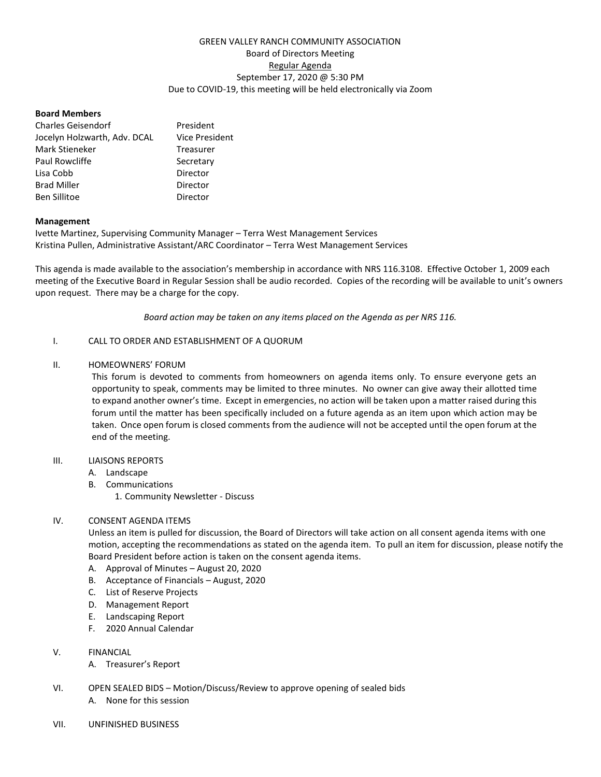# GREEN VALLEY RANCH COMMUNITY ASSOCIATION Board of Directors Meeting Regular Agenda September 17, 2020 @ 5:30 PM Due to COVID-19, this meeting will be held electronically via Zoom

## **Board Members**

| <b>Charles Geisendorf</b>    | President             |
|------------------------------|-----------------------|
| Jocelyn Holzwarth, Adv. DCAL | <b>Vice President</b> |
| Mark Stieneker               | Treasurer             |
| Paul Rowcliffe               | Secretary             |
| Lisa Cobb                    | Director              |
| <b>Brad Miller</b>           | Director              |
| <b>Ben Sillitoe</b>          | Director              |

### **Management**

Ivette Martinez, Supervising Community Manager – Terra West Management Services Kristina Pullen, Administrative Assistant/ARC Coordinator – Terra West Management Services

This agenda is made available to the association's membership in accordance with NRS 116.3108. Effective October 1, 2009 each meeting of the Executive Board in Regular Session shall be audio recorded. Copies of the recording will be available to unit's owners upon request. There may be a charge for the copy.

*Board action may be taken on any items placed on the Agenda as per NRS 116.*

### I. CALL TO ORDER AND ESTABLISHMENT OF A QUORUM

### II. HOMEOWNERS' FORUM

This forum is devoted to comments from homeowners on agenda items only. To ensure everyone gets an opportunity to speak, comments may be limited to three minutes. No owner can give away their allotted time to expand another owner's time. Except in emergencies, no action will be taken upon a matter raised during this forum until the matter has been specifically included on a future agenda as an item upon which action may be taken. Once open forum is closed comments from the audience will not be accepted until the open forum at the end of the meeting.

#### III. LIAISONS REPORTS

- A. Landscape
- B. Communications
	- 1. Community Newsletter Discuss

## IV. CONSENT AGENDA ITEMS

Unless an item is pulled for discussion, the Board of Directors will take action on all consent agenda items with one motion, accepting the recommendations as stated on the agenda item. To pull an item for discussion, please notify the Board President before action is taken on the consent agenda items.

- A. Approval of Minutes August 20, 2020
- B. Acceptance of Financials August, 2020
- C. List of Reserve Projects
- D. Management Report
- E. Landscaping Report
- F. 2020 Annual Calendar
- V. FINANCIAL
	- A. Treasurer's Report
- VI. OPEN SEALED BIDS Motion/Discuss/Review to approve opening of sealed bids
	- A. None for this session
- VII. UNFINISHED BUSINESS